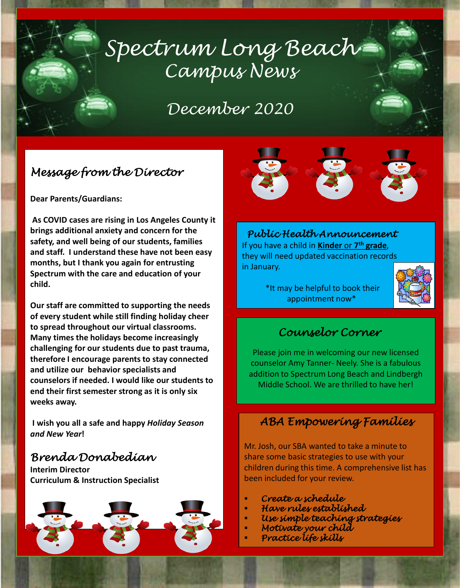# *Spectrum Long Beach Campus News*

## *December 2020*

### *Message from the Director*

**Dear Parents/Guardians:**

**As COVID cases are rising in Los Angeles County it brings additional anxiety and concern for the safety, and well being of our students, families and staff. I understand these have not been easy months, but I thank you again for entrusting Spectrum with the care and education of your child.** 

**Our staff are committed to supporting the needs of every student while still finding holiday cheer to spread throughout our virtual classrooms. Many times the holidays become increasingly challenging for our students due to past trauma, therefore I encourage parents to stay connected and utilize our behavior specialists and counselors if needed. I would like our students to end their first semester strong as it is only six weeks away.**

**I wish you all a safe and happy** *Holiday Season and New Year***!** 

#### *Brenda Donabedian*

**Interim Director Curriculum & Instruction Specialist**





*Public Health Announcement* If you have a child in **Kinder** or **7 th grade**, they will need updated vaccination records in January.

> \*It may be helpful to book their appointment now\*



#### *Counselor Corner*

Please join me in welcoming our new licensed counselor Amy Tanner- Neely. She is a fabulous addition to Spectrum Long Beach and Lindbergh Middle School. We are thrilled to have her!

#### *ABA Empowering Families*

Mr. Josh, our SBA wanted to take a minute to share some basic strategies to use with your children during this time. A comprehensive list has been included for your review.

- *Create a schedule*
- *Have rules established*
- *Use simple teaching strategies*
- *Motivate your child*
- *Practice life skills*